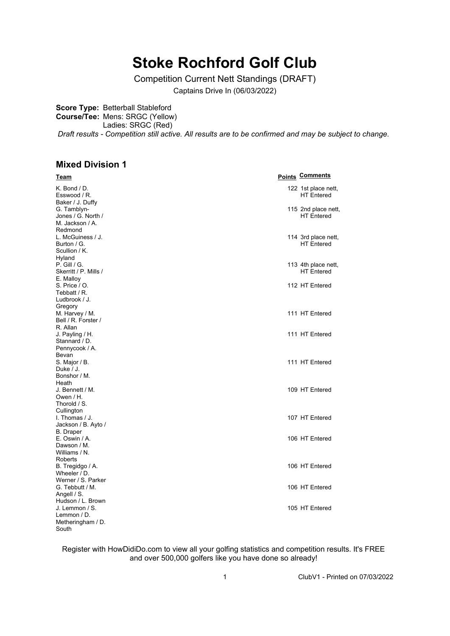## **Stoke Rochford Golf Club**

Competition Current Nett Standings (DRAFT)

Captains Drive In (06/03/2022)

**Score Type:** Betterball Stableford

**Course/Tee:** Mens: SRGC (Yellow)

Ladies: SRGC (Red)

*Draft results - Competition still active. All results are to be confirmed and may be subject to change.*

## **Mixed Division 1**

| <u>Team</u>                                                     | <b>Points Comments</b>                   |
|-----------------------------------------------------------------|------------------------------------------|
| K. Bond / D.<br>Esswood / R.<br>Baker / J. Duffy                | 122 1st place nett,<br><b>HT</b> Entered |
| G. Tamblyn-<br>Jones / G. North /<br>M. Jackson / A.<br>Redmond | 115 2nd place nett,<br><b>HT</b> Entered |
| L. McGuiness / J.<br>Burton / G.<br>Scullion / K.<br>Hyland     | 114 3rd place nett,<br><b>HT</b> Entered |
| P. Gill / G.<br>Skerritt / P. Mills /<br>E. Malloy              | 113 4th place nett,<br><b>HT</b> Entered |
| S. Price / O.<br>Tebbatt / R.<br>Ludbrook / J.<br>Gregory       | 112 HT Entered                           |
| M. Harvey / M.<br>Bell / R. Forster /<br>R. Allan               | 111 HT Entered                           |
| J. Payling / H.<br>Stannard / D.<br>Pennycook / A.<br>Bevan     | 111 HT Entered                           |
| S. Major / B.<br>Duke / J.<br>Bonshor / M.<br>Heath             | 111 HT Entered                           |
| J. Bennett / M.<br>Owen / H.<br>Thorold / S.<br>Cullington      | 109 HT Entered                           |
| I. Thomas / J.<br>Jackson / B. Ayto /<br><b>B.</b> Draper       | 107 HT Entered                           |
| E. Oswin / A.<br>Dawson / M.<br>Williams / N.<br>Roberts        | 106 HT Entered                           |
| B. Tregidgo / A.<br>Wheeler / D.<br>Werner / S. Parker          | 106 HT Entered                           |
| G. Tebbutt / M.<br>Angell / S.<br>Hudson / L. Brown             | 106 HT Entered                           |
| J. Lemmon / S.<br>Lemmon / D.<br>Metheringham / D.<br>South     | 105 HT Entered                           |

Register with HowDidiDo.com to view all your golfing statistics and competition results. It's FREE and over 500,000 golfers like you have done so already!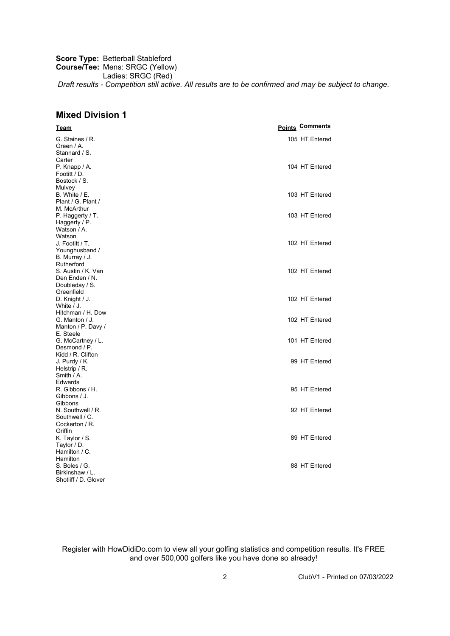**Score Type:** Betterball Stableford **Course/Tee:** Mens: SRGC (Yellow) Ladies: SRGC (Red) *Draft results - Competition still active. All results are to be confirmed and may be subject to change.*

## **Mixed Division 1**

| 105 HT Entered<br>G. Staines / R.<br>Green / A.<br>Stannard / S.<br>P. Knapp / A.<br>104 HT Entered<br>103 HT Entered<br>103 HT Entered<br>102 HT Entered<br>102 HT Entered<br>102 HT Entered<br>D. Knight / J.<br>White / J.<br>Hitchman / H. Dow<br>102 HT Entered<br>G. Manton / J.<br>Manton / P. Davy /<br>E. Steele<br>G. McCartney / L.<br>101 HT Entered<br>Desmond / P.<br>Kidd / R. Clifton<br>99 HT Entered<br>J. Purdy / K.<br>Helstrip / R.<br>Smith $/ A$ .<br>Edwards<br>95 HT Entered<br>R. Gibbons / H.<br>Gibbons / J.<br>Gibbons<br>N. Southwell / R.<br>92 HT Entered<br>Southwell / C.<br>Cockerton / R.<br>Griffin | <u>Team</u>          | <b>Points Comments</b> |
|------------------------------------------------------------------------------------------------------------------------------------------------------------------------------------------------------------------------------------------------------------------------------------------------------------------------------------------------------------------------------------------------------------------------------------------------------------------------------------------------------------------------------------------------------------------------------------------------------------------------------------------|----------------------|------------------------|
|                                                                                                                                                                                                                                                                                                                                                                                                                                                                                                                                                                                                                                          |                      |                        |
|                                                                                                                                                                                                                                                                                                                                                                                                                                                                                                                                                                                                                                          |                      |                        |
|                                                                                                                                                                                                                                                                                                                                                                                                                                                                                                                                                                                                                                          |                      |                        |
|                                                                                                                                                                                                                                                                                                                                                                                                                                                                                                                                                                                                                                          | Carter               |                        |
|                                                                                                                                                                                                                                                                                                                                                                                                                                                                                                                                                                                                                                          |                      |                        |
|                                                                                                                                                                                                                                                                                                                                                                                                                                                                                                                                                                                                                                          | Footitt / D.         |                        |
|                                                                                                                                                                                                                                                                                                                                                                                                                                                                                                                                                                                                                                          | Bostock / S.         |                        |
|                                                                                                                                                                                                                                                                                                                                                                                                                                                                                                                                                                                                                                          | Mulvey               |                        |
|                                                                                                                                                                                                                                                                                                                                                                                                                                                                                                                                                                                                                                          | B. White / E.        |                        |
|                                                                                                                                                                                                                                                                                                                                                                                                                                                                                                                                                                                                                                          | Plant / G. Plant /   |                        |
|                                                                                                                                                                                                                                                                                                                                                                                                                                                                                                                                                                                                                                          | M. McArthur          |                        |
|                                                                                                                                                                                                                                                                                                                                                                                                                                                                                                                                                                                                                                          | P. Haggerty / T.     |                        |
|                                                                                                                                                                                                                                                                                                                                                                                                                                                                                                                                                                                                                                          | Haggerty / P.        |                        |
|                                                                                                                                                                                                                                                                                                                                                                                                                                                                                                                                                                                                                                          | Watson / A.          |                        |
|                                                                                                                                                                                                                                                                                                                                                                                                                                                                                                                                                                                                                                          | Watson               |                        |
|                                                                                                                                                                                                                                                                                                                                                                                                                                                                                                                                                                                                                                          | J. Footitt / T.      |                        |
|                                                                                                                                                                                                                                                                                                                                                                                                                                                                                                                                                                                                                                          | Younghusband /       |                        |
|                                                                                                                                                                                                                                                                                                                                                                                                                                                                                                                                                                                                                                          | B. Murray / J.       |                        |
|                                                                                                                                                                                                                                                                                                                                                                                                                                                                                                                                                                                                                                          | Rutherford           |                        |
|                                                                                                                                                                                                                                                                                                                                                                                                                                                                                                                                                                                                                                          | S. Austin / K. Van   |                        |
|                                                                                                                                                                                                                                                                                                                                                                                                                                                                                                                                                                                                                                          | Den Enden / N.       |                        |
|                                                                                                                                                                                                                                                                                                                                                                                                                                                                                                                                                                                                                                          | Doubleday / S.       |                        |
|                                                                                                                                                                                                                                                                                                                                                                                                                                                                                                                                                                                                                                          | Greenfield           |                        |
|                                                                                                                                                                                                                                                                                                                                                                                                                                                                                                                                                                                                                                          |                      |                        |
|                                                                                                                                                                                                                                                                                                                                                                                                                                                                                                                                                                                                                                          |                      |                        |
|                                                                                                                                                                                                                                                                                                                                                                                                                                                                                                                                                                                                                                          |                      |                        |
|                                                                                                                                                                                                                                                                                                                                                                                                                                                                                                                                                                                                                                          |                      |                        |
|                                                                                                                                                                                                                                                                                                                                                                                                                                                                                                                                                                                                                                          |                      |                        |
|                                                                                                                                                                                                                                                                                                                                                                                                                                                                                                                                                                                                                                          |                      |                        |
|                                                                                                                                                                                                                                                                                                                                                                                                                                                                                                                                                                                                                                          |                      |                        |
|                                                                                                                                                                                                                                                                                                                                                                                                                                                                                                                                                                                                                                          |                      |                        |
|                                                                                                                                                                                                                                                                                                                                                                                                                                                                                                                                                                                                                                          |                      |                        |
|                                                                                                                                                                                                                                                                                                                                                                                                                                                                                                                                                                                                                                          |                      |                        |
|                                                                                                                                                                                                                                                                                                                                                                                                                                                                                                                                                                                                                                          |                      |                        |
|                                                                                                                                                                                                                                                                                                                                                                                                                                                                                                                                                                                                                                          |                      |                        |
|                                                                                                                                                                                                                                                                                                                                                                                                                                                                                                                                                                                                                                          |                      |                        |
|                                                                                                                                                                                                                                                                                                                                                                                                                                                                                                                                                                                                                                          |                      |                        |
|                                                                                                                                                                                                                                                                                                                                                                                                                                                                                                                                                                                                                                          |                      |                        |
|                                                                                                                                                                                                                                                                                                                                                                                                                                                                                                                                                                                                                                          |                      |                        |
|                                                                                                                                                                                                                                                                                                                                                                                                                                                                                                                                                                                                                                          |                      |                        |
|                                                                                                                                                                                                                                                                                                                                                                                                                                                                                                                                                                                                                                          |                      |                        |
|                                                                                                                                                                                                                                                                                                                                                                                                                                                                                                                                                                                                                                          |                      |                        |
| 89 HT Entered                                                                                                                                                                                                                                                                                                                                                                                                                                                                                                                                                                                                                            | K. Taylor / S.       |                        |
|                                                                                                                                                                                                                                                                                                                                                                                                                                                                                                                                                                                                                                          | Taylor / D.          |                        |
|                                                                                                                                                                                                                                                                                                                                                                                                                                                                                                                                                                                                                                          | Hamilton / C.        |                        |
|                                                                                                                                                                                                                                                                                                                                                                                                                                                                                                                                                                                                                                          | Hamilton             |                        |
| 88 HT Entered                                                                                                                                                                                                                                                                                                                                                                                                                                                                                                                                                                                                                            | S. Boles / G.        |                        |
|                                                                                                                                                                                                                                                                                                                                                                                                                                                                                                                                                                                                                                          | Birkinshaw / L.      |                        |
|                                                                                                                                                                                                                                                                                                                                                                                                                                                                                                                                                                                                                                          | Shotliff / D. Glover |                        |

Register with HowDidiDo.com to view all your golfing statistics and competition results. It's FREE and over 500,000 golfers like you have done so already!